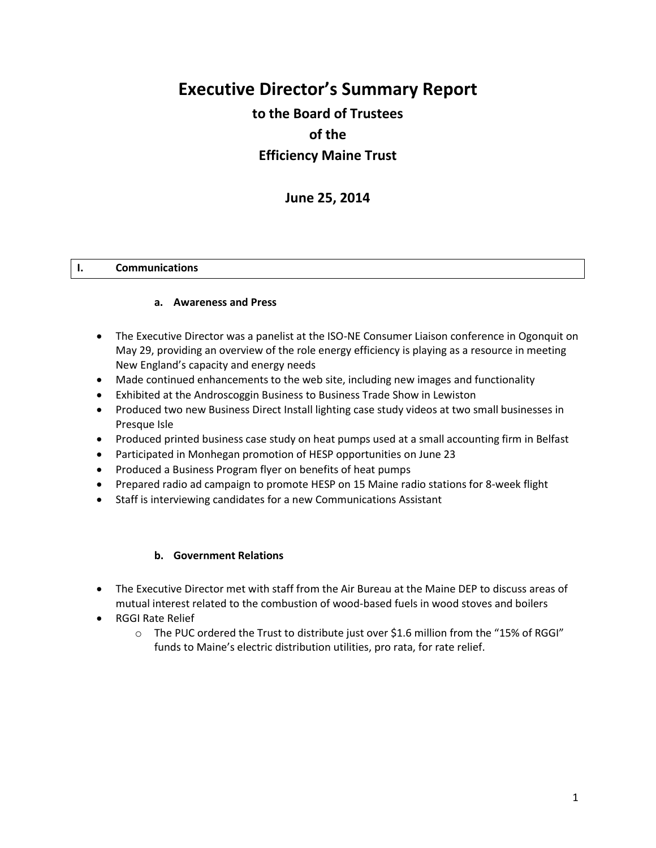# **Executive Director's Summary Report**

# **to the Board of Trustees of the Efficiency Maine Trust**

**June 25, 2014**

#### **I. Communications**

#### **a. Awareness and Press**

- The Executive Director was a panelist at the ISO-NE Consumer Liaison conference in Ogonquit on May 29, providing an overview of the role energy efficiency is playing as a resource in meeting New England's capacity and energy needs
- Made continued enhancements to the web site, including new images and functionality
- Exhibited at the Androscoggin Business to Business Trade Show in Lewiston
- Produced two new Business Direct Install lighting case study videos at two small businesses in Presque Isle
- Produced printed business case study on heat pumps used at a small accounting firm in Belfast
- Participated in Monhegan promotion of HESP opportunities on June 23
- Produced a Business Program flyer on benefits of heat pumps
- Prepared radio ad campaign to promote HESP on 15 Maine radio stations for 8-week flight
- Staff is interviewing candidates for a new Communications Assistant

#### **b. Government Relations**

- The Executive Director met with staff from the Air Bureau at the Maine DEP to discuss areas of mutual interest related to the combustion of wood-based fuels in wood stoves and boilers
- RGGI Rate Relief
	- $\circ$  The PUC ordered the Trust to distribute just over \$1.6 million from the "15% of RGGI" funds to Maine's electric distribution utilities, pro rata, for rate relief.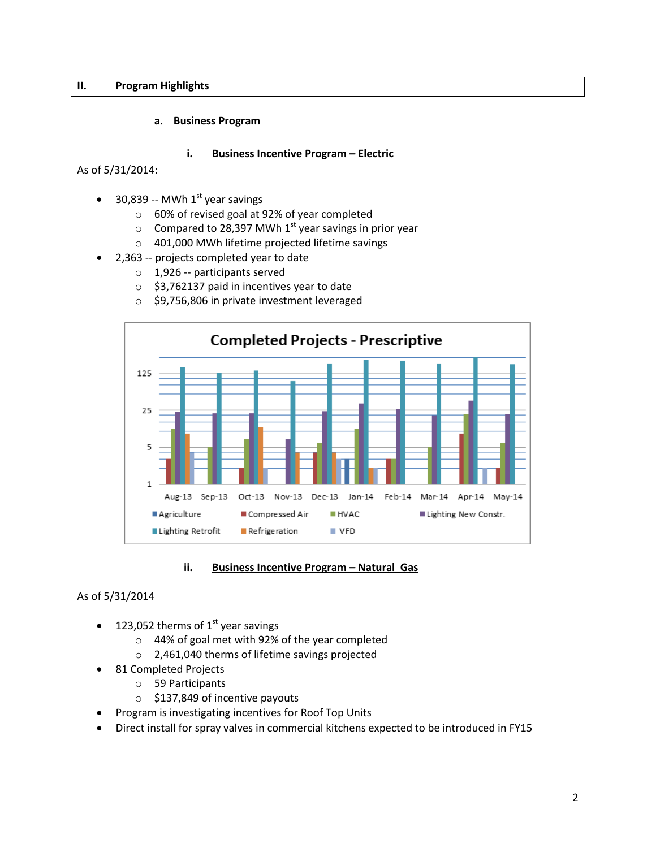# **II. Program Highlights**

#### **a. Business Program**

#### **i. Business Incentive Program – Electric**

As of 5/31/2014:

- $\bullet$  30,839 -- MWh 1<sup>st</sup> year savings
	- o 60% of revised goal at 92% of year completed
	- $\circ$  Compared to 28,397 MWh 1<sup>st</sup> year savings in prior year
	- o 401,000 MWh lifetime projected lifetime savings
- 2,363 -- projects completed year to date
	- o 1,926 -- participants served
	- o \$3,762137 paid in incentives year to date
	- o \$9,756,806 in private investment leveraged



#### **ii.** Business Incentive Program - Natural Gas

#### As of 5/31/2014

- 123,052 therms of  $1<sup>st</sup>$  year savings
	- o 44% of goal met with 92% of the year completed
	- o 2,461,040 therms of lifetime savings projected
	- 81 Completed Projects
		- o 59 Participants
		- o \$137,849 of incentive payouts
- Program is investigating incentives for Roof Top Units
- Direct install for spray valves in commercial kitchens expected to be introduced in FY15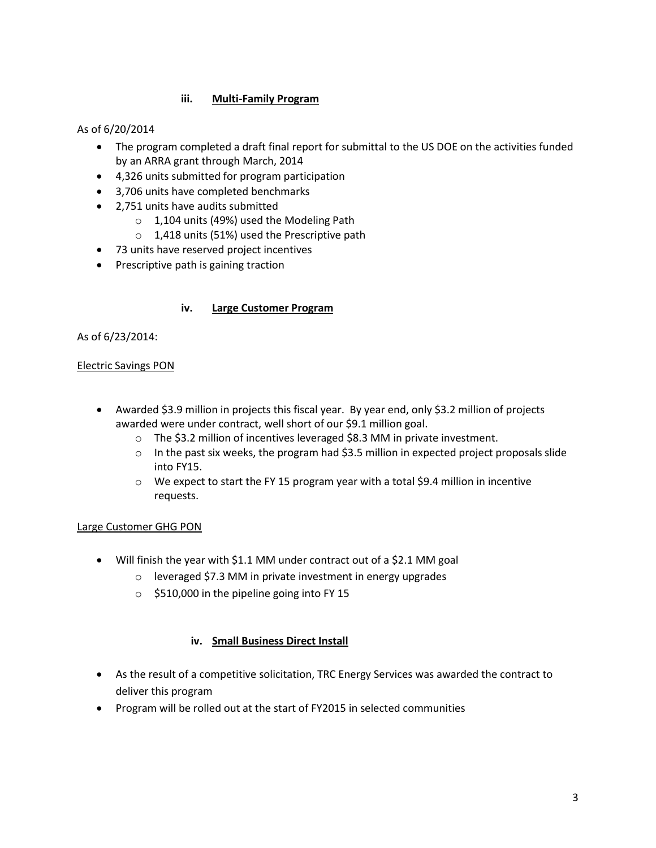# **iii. Multi-Family Program**

# As of 6/20/2014

- The program completed a draft final report for submittal to the US DOE on the activities funded by an ARRA grant through March, 2014
- 4,326 units submitted for program participation
- 3,706 units have completed benchmarks
- 2,751 units have audits submitted
	- o 1,104 units (49%) used the Modeling Path
	- o 1,418 units (51%) used the Prescriptive path
- 73 units have reserved project incentives
- Prescriptive path is gaining traction

#### **iv. Large Customer Program**

#### As of 6/23/2014:

#### Electric Savings PON

- Awarded \$3.9 million in projects this fiscal year. By year end, only \$3.2 million of projects awarded were under contract, well short of our \$9.1 million goal.
	- o The \$3.2 million of incentives leveraged \$8.3 MM in private investment.
	- $\circ$  In the past six weeks, the program had \$3.5 million in expected project proposals slide into FY15.
	- o We expect to start the FY 15 program year with a total \$9.4 million in incentive requests.

#### Large Customer GHG PON

- Will finish the year with \$1.1 MM under contract out of a \$2.1 MM goal
	- o leveraged \$7.3 MM in private investment in energy upgrades
	- o \$510,000 in the pipeline going into FY 15

#### **iv. Small Business Direct Install**

- As the result of a competitive solicitation, TRC Energy Services was awarded the contract to deliver this program
- Program will be rolled out at the start of FY2015 in selected communities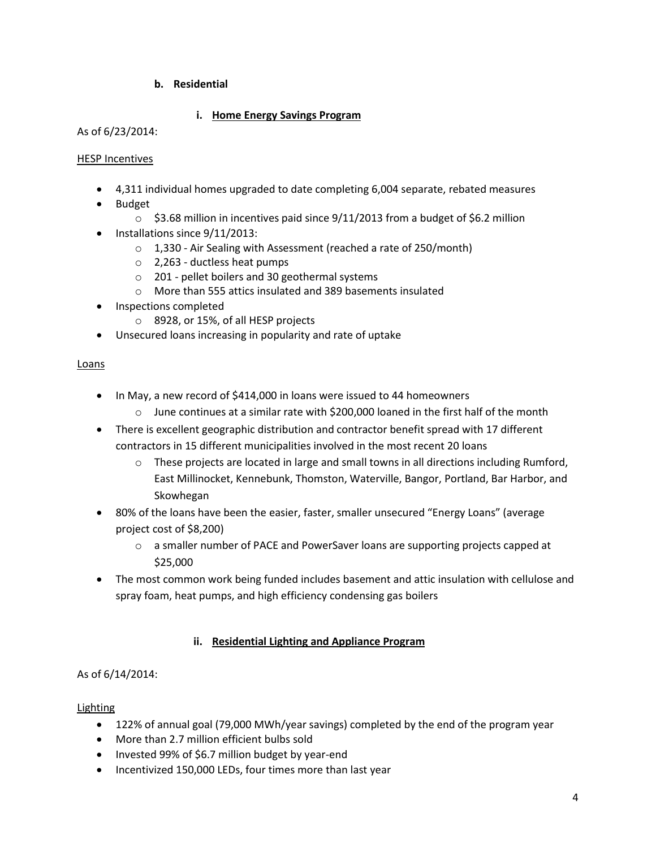# **b. Residential**

# **i. Home Energy Savings Program**

#### As of 6/23/2014:

#### HESP Incentives

- 4,311 individual homes upgraded to date completing 6,004 separate, rebated measures
- Budget
	- $\circ$  \$3.68 million in incentives paid since 9/11/2013 from a budget of \$6.2 million
- $\bullet$  Installations since  $9/11/2013$ :
	- o 1,330 Air Sealing with Assessment (reached a rate of 250/month)
	- o 2,263 ductless heat pumps
	- o 201 pellet boilers and 30 geothermal systems
	- o More than 555 attics insulated and 389 basements insulated
- Inspections completed
	- o 8928, or 15%, of all HESP projects
- Unsecured loans increasing in popularity and rate of uptake

#### Loans

- In May, a new record of \$414,000 in loans were issued to 44 homeowners
	- $\circ$  June continues at a similar rate with \$200,000 loaned in the first half of the month
- There is excellent geographic distribution and contractor benefit spread with 17 different contractors in 15 different municipalities involved in the most recent 20 loans
	- $\circ$  These projects are located in large and small towns in all directions including Rumford, East Millinocket, Kennebunk, Thomston, Waterville, Bangor, Portland, Bar Harbor, and Skowhegan
- 80% of the loans have been the easier, faster, smaller unsecured "Energy Loans" (average project cost of \$8,200)
	- $\circ$  a smaller number of PACE and PowerSaver loans are supporting projects capped at \$25,000
- The most common work being funded includes basement and attic insulation with cellulose and spray foam, heat pumps, and high efficiency condensing gas boilers

# **ii. Residential Lighting and Appliance Program**

# As of 6/14/2014:

# Lighting

- 122% of annual goal (79,000 MWh/year savings) completed by the end of the program year
- More than 2.7 million efficient bulbs sold
- Invested 99% of \$6.7 million budget by year-end
- Incentivized 150,000 LEDs, four times more than last year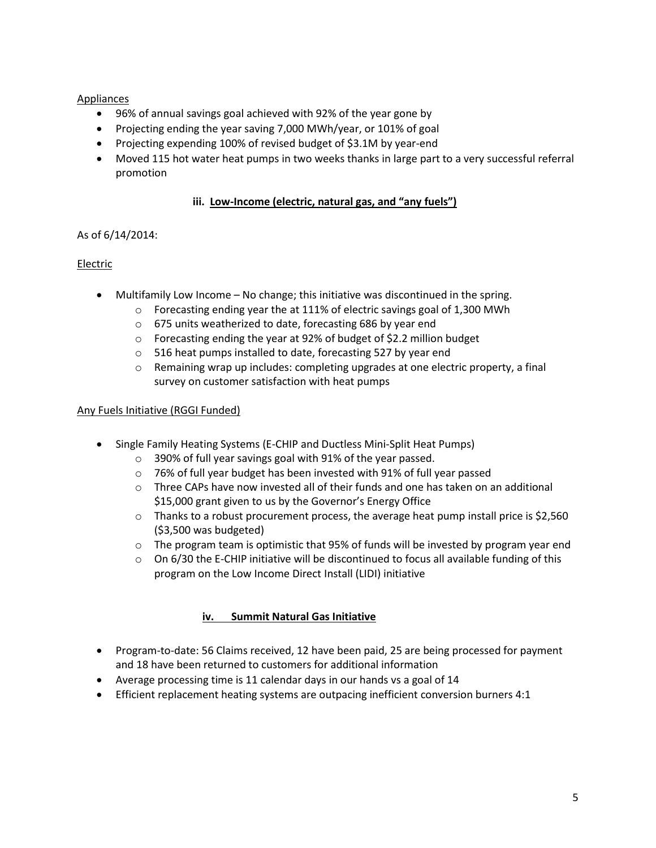# Appliances

- 96% of annual savings goal achieved with 92% of the year gone by
- Projecting ending the year saving 7,000 MWh/year, or 101% of goal
- Projecting expending 100% of revised budget of \$3.1M by year-end
- Moved 115 hot water heat pumps in two weeks thanks in large part to a very successful referral promotion

#### **iii. Low-Income (electric, natural gas, and "any fuels")**

#### As of 6/14/2014:

#### Electric

- Multifamily Low Income No change; this initiative was discontinued in the spring.
	- $\circ$  Forecasting ending year the at 111% of electric savings goal of 1,300 MWh
	- o 675 units weatherized to date, forecasting 686 by year end
	- $\circ$  Forecasting ending the year at 92% of budget of \$2.2 million budget
	- o 516 heat pumps installed to date, forecasting 527 by year end
	- $\circ$  Remaining wrap up includes: completing upgrades at one electric property, a final survey on customer satisfaction with heat pumps

#### Any Fuels Initiative (RGGI Funded)

- Single Family Heating Systems (E-CHIP and Ductless Mini-Split Heat Pumps)
	- o 390% of full year savings goal with 91% of the year passed.
	- o 76% of full year budget has been invested with 91% of full year passed
	- $\circ$  Three CAPs have now invested all of their funds and one has taken on an additional \$15,000 grant given to us by the Governor's Energy Office
	- o Thanks to a robust procurement process, the average heat pump install price is \$2,560 (\$3,500 was budgeted)
	- $\circ$  The program team is optimistic that 95% of funds will be invested by program year end
	- $\circ$  On 6/30 the E-CHIP initiative will be discontinued to focus all available funding of this program on the Low Income Direct Install (LIDI) initiative

#### **iv. Summit Natural Gas Initiative**

- Program-to-date: 56 Claims received, 12 have been paid, 25 are being processed for payment and 18 have been returned to customers for additional information
- Average processing time is 11 calendar days in our hands vs a goal of 14
- Efficient replacement heating systems are outpacing inefficient conversion burners 4:1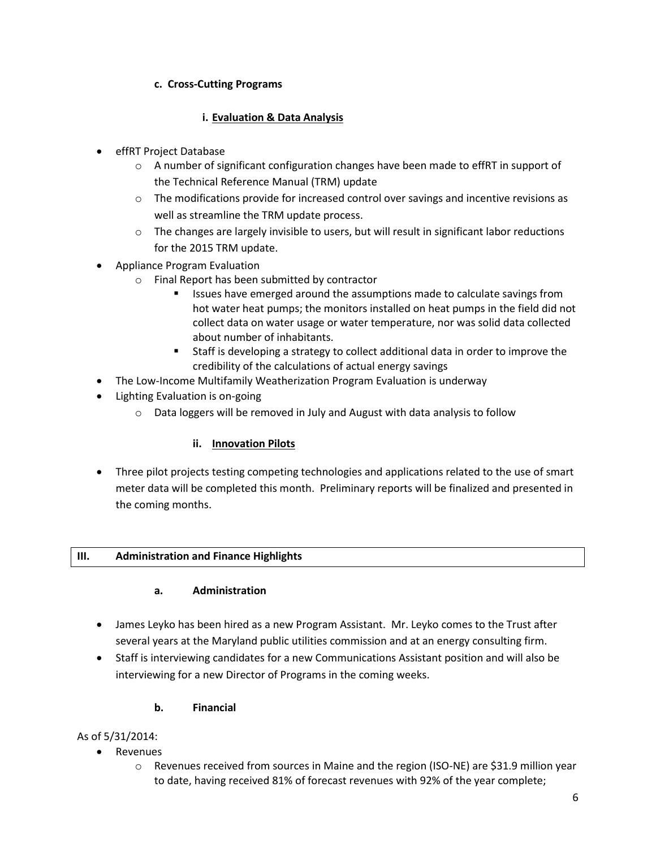# **c. Cross-Cutting Programs**

# **i. Evaluation & Data Analysis**

- effRT Project Database
	- $\circ$  A number of significant configuration changes have been made to effRT in support of the Technical Reference Manual (TRM) update
	- $\circ$  The modifications provide for increased control over savings and incentive revisions as well as streamline the TRM update process.
	- $\circ$  The changes are largely invisible to users, but will result in significant labor reductions for the 2015 TRM update.
- Appliance Program Evaluation
	- o Final Report has been submitted by contractor
		- Issues have emerged around the assumptions made to calculate savings from hot water heat pumps; the monitors installed on heat pumps in the field did not collect data on water usage or water temperature, nor was solid data collected about number of inhabitants.
		- Staff is developing a strategy to collect additional data in order to improve the credibility of the calculations of actual energy savings
- The Low-Income Multifamily Weatherization Program Evaluation is underway
- Lighting Evaluation is on-going
	- o Data loggers will be removed in July and August with data analysis to follow

# **ii. Innovation Pilots**

 Three pilot projects testing competing technologies and applications related to the use of smart meter data will be completed this month. Preliminary reports will be finalized and presented in the coming months.

#### **III. Administration and Finance Highlights**

# **a. Administration**

- James Leyko has been hired as a new Program Assistant. Mr. Leyko comes to the Trust after several years at the Maryland public utilities commission and at an energy consulting firm.
- Staff is interviewing candidates for a new Communications Assistant position and will also be interviewing for a new Director of Programs in the coming weeks.

# **b. Financial**

# As of 5/31/2014:

- Revenues
	- $\circ$  Revenues received from sources in Maine and the region (ISO-NE) are \$31.9 million year to date, having received 81% of forecast revenues with 92% of the year complete;